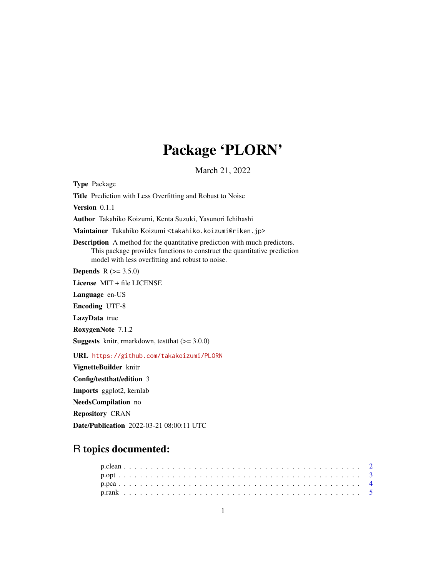# Package 'PLORN'

March 21, 2022

Type Package Title Prediction with Less Overfitting and Robust to Noise Version 0.1.1 Author Takahiko Koizumi, Kenta Suzuki, Yasunori Ichihashi Maintainer Takahiko Koizumi <takahiko.koizumi@riken.jp> Description A method for the quantitative prediction with much predictors. This package provides functions to construct the quantitative prediction model with less overfitting and robust to noise. **Depends**  $R (= 3.5.0)$ License MIT + file LICENSE Language en-US Encoding UTF-8 LazyData true RoxygenNote 7.1.2 **Suggests** knitr, rmarkdown, test that  $(>= 3.0.0)$ URL <https://github.com/takakoizumi/PLORN> VignetteBuilder knitr Config/testthat/edition 3 Imports ggplot2, kernlab NeedsCompilation no Repository CRAN

# R topics documented:

Date/Publication 2022-03-21 08:00:11 UTC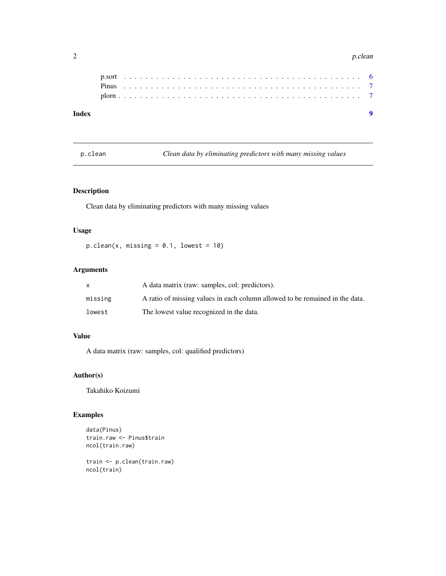#### 2 p.clean

# **Index** [9](#page-8-0)

p.clean *Clean data by eliminating predictors with many missing values*

# Description

Clean data by eliminating predictors with many missing values

# Usage

 $p.closean(x, missing = 0.1, lowest = 10)$ 

# Arguments

| X       | A data matrix (raw: samples, col: predictors).                               |
|---------|------------------------------------------------------------------------------|
| missing | A ratio of missing values in each column allowed to be remained in the data. |
| lowest  | The lowest value recognized in the data.                                     |

# Value

A data matrix (raw: samples, col: qualified predictors)

# Author(s)

Takahiko Koizumi

# Examples

```
data(Pinus)
train.raw <- Pinus$train
ncol(train.raw)
```
train <- p.clean(train.raw) ncol(train)

<span id="page-1-0"></span>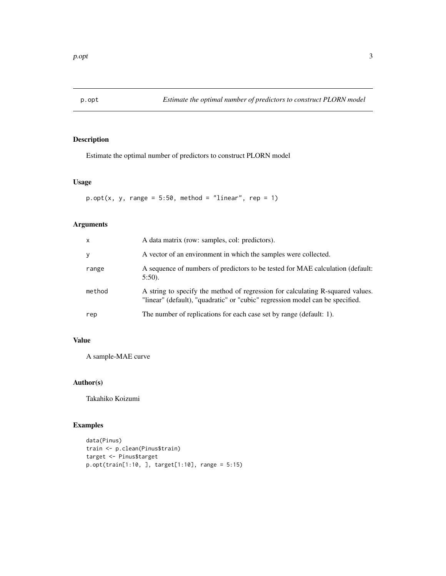<span id="page-2-0"></span>

Estimate the optimal number of predictors to construct PLORN model

#### Usage

 $p.$ opt(x, y, range = 5:50, method = "linear", rep = 1)

# Arguments

| $\mathsf{x}$ | A data matrix (row: samples, col: predictors).                                                                                                                  |
|--------------|-----------------------------------------------------------------------------------------------------------------------------------------------------------------|
| У            | A vector of an environment in which the samples were collected.                                                                                                 |
| range        | A sequence of numbers of predictors to be tested for MAE calculation (default:<br>$5:50$ ).                                                                     |
| method       | A string to specify the method of regression for calculating R-squared values.<br>"linear" (default), "quadratic" or "cubic" regression model can be specified. |
| rep          | The number of replications for each case set by range (default: 1).                                                                                             |

# Value

A sample-MAE curve

# Author(s)

Takahiko Koizumi

```
data(Pinus)
train <- p.clean(Pinus$train)
target <- Pinus$target
p.opt(train[1:10, ], target[1:10], range = 5:15)
```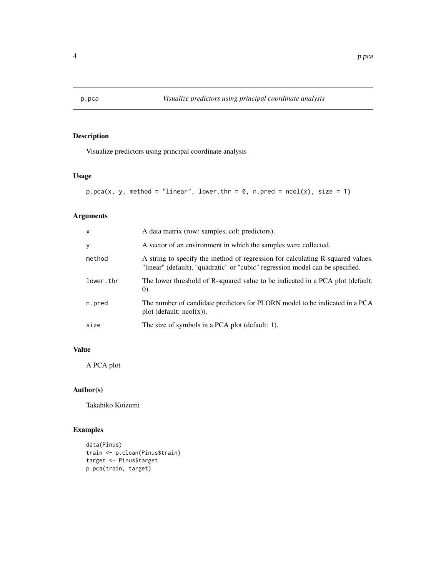<span id="page-3-0"></span>

Visualize predictors using principal coordinate analysis

# Usage

```
p.pca(x, y, method = "linear", lower.htm = 0, n.pred = ncol(x), size = 1)
```
# Arguments

| $\mathsf{x}$ | A data matrix (row: samples, col: predictors).                                                                                                                  |
|--------------|-----------------------------------------------------------------------------------------------------------------------------------------------------------------|
| y            | A vector of an environment in which the samples were collected.                                                                                                 |
| method       | A string to specify the method of regression for calculating R-squared values.<br>"linear" (default), "quadratic" or "cubic" regression model can be specified. |
| lower.thr    | The lower threshold of R-squared value to be indicated in a PCA plot (default:<br>(0).                                                                          |
| n.pred       | The number of candidate predictors for PLORN model to be indicated in a PCA<br>plot (default: $ncol(x)$ ).                                                      |
| size         | The size of symbols in a PCA plot (default: 1).                                                                                                                 |

#### Value

A PCA plot

#### Author(s)

Takahiko Koizumi

```
data(Pinus)
train <- p.clean(Pinus$train)
target <- Pinus$target
p.pca(train, target)
```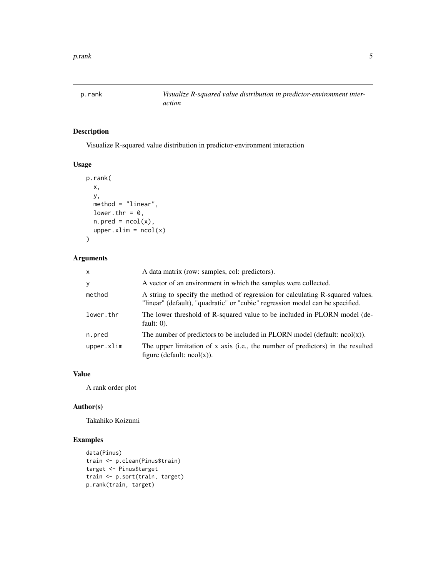<span id="page-4-0"></span>

Visualize R-squared value distribution in predictor-environment interaction

#### Usage

```
p.rank(
  x,
 y,
 method = "linear",
 lower.thr = 0,
 n.pred = ncol(x),
  upper(xlim = ncol(x))
```
# Arguments

| $\mathsf{x}$ | A data matrix (row: samples, col: predictors).                                                                                                                  |
|--------------|-----------------------------------------------------------------------------------------------------------------------------------------------------------------|
| У            | A vector of an environment in which the samples were collected.                                                                                                 |
| method       | A string to specify the method of regression for calculating R-squared values.<br>"linear" (default), "quadratic" or "cubic" regression model can be specified. |
| lower.thr    | The lower threshold of R-squared value to be included in PLORN model (de-<br>fault: $0$ ).                                                                      |
| n.pred       | The number of predictors to be included in PLORN model (default: $ncol(x)$ ).                                                                                   |
| upper.xlim   | The upper limitation of x axis (i.e., the number of predictors) in the resulted<br>figure (default: $ncol(x)$ ).                                                |

# Value

A rank order plot

#### Author(s)

Takahiko Koizumi

```
data(Pinus)
train <- p.clean(Pinus$train)
target <- Pinus$target
train <- p.sort(train, target)
p.rank(train, target)
```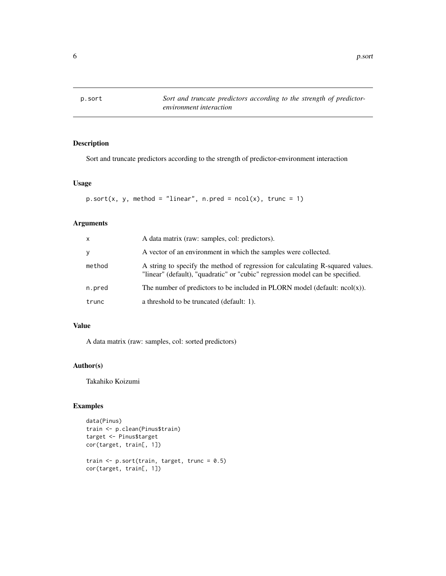<span id="page-5-0"></span>

Sort and truncate predictors according to the strength of predictor-environment interaction

# Usage

```
p.sort(x, y, method = "linear", n.pred = ncol(x), trunc = 1)
```
# Arguments

| x      | A data matrix (raw: samples, col: predictors).                                                                                                                  |
|--------|-----------------------------------------------------------------------------------------------------------------------------------------------------------------|
| y      | A vector of an environment in which the samples were collected.                                                                                                 |
| method | A string to specify the method of regression for calculating R-squared values.<br>"linear" (default), "quadratic" or "cubic" regression model can be specified. |
| n.pred | The number of predictors to be included in PLORN model (default: $ncol(x)$ ).                                                                                   |
| trunc  | a threshold to be truncated (default: 1).                                                                                                                       |

# Value

A data matrix (raw: samples, col: sorted predictors)

#### Author(s)

Takahiko Koizumi

```
data(Pinus)
train <- p.clean(Pinus$train)
target <- Pinus$target
cor(target, train[, 1])
train \leq p.sort(train, target, trunc = 0.5)
cor(target, train[, 1])
```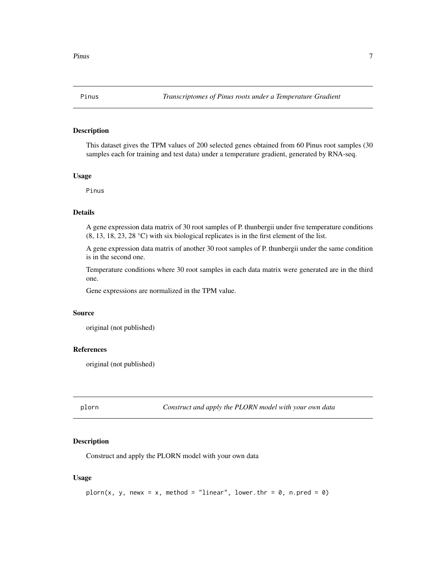<span id="page-6-0"></span>

This dataset gives the TPM values of 200 selected genes obtained from 60 Pinus root samples (30 samples each for training and test data) under a temperature gradient, generated by RNA-seq.

#### Usage

Pinus

# Details

A gene expression data matrix of 30 root samples of P. thunbergii under five temperature conditions (8, 13, 18, 23, 28 °C) with six biological replicates is in the first element of the list.

A gene expression data matrix of another 30 root samples of P. thunbergii under the same condition is in the second one.

Temperature conditions where 30 root samples in each data matrix were generated are in the third one.

Gene expressions are normalized in the TPM value.

#### Source

original (not published)

#### References

original (not published)

plorn *Construct and apply the PLORN model with your own data*

#### Description

Construct and apply the PLORN model with your own data

#### Usage

```
plorn(x, y, newx = x, method = "linear", lower.thr = \theta, n.pred = \theta)
```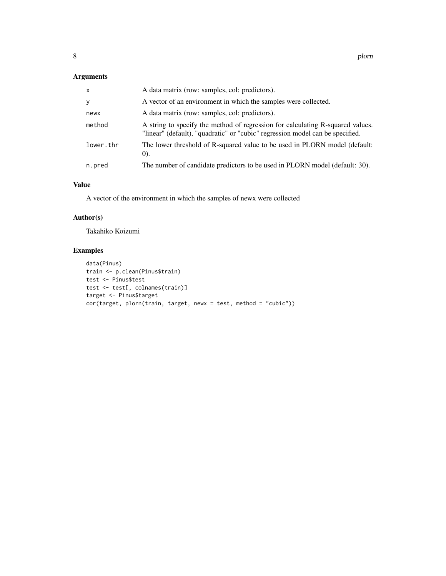# Arguments

| X         | A data matrix (row: samples, col: predictors).                                                                                                                  |
|-----------|-----------------------------------------------------------------------------------------------------------------------------------------------------------------|
| y         | A vector of an environment in which the samples were collected.                                                                                                 |
| newx      | A data matrix (row: samples, col: predictors).                                                                                                                  |
| method    | A string to specify the method of regression for calculating R-squared values.<br>"linear" (default), "quadratic" or "cubic" regression model can be specified. |
| lower.thr | The lower threshold of R-squared value to be used in PLORN model (default:<br>(0).                                                                              |
| n.pred    | The number of candidate predictors to be used in PLORN model (default: 30).                                                                                     |

# Value

A vector of the environment in which the samples of newx were collected

# Author(s)

Takahiko Koizumi

```
data(Pinus)
train <- p.clean(Pinus$train)
test <- Pinus$test
test <- test[, colnames(train)]
target <- Pinus$target
cor(target, plorn(train, target, newx = test, method = "cubic"))
```